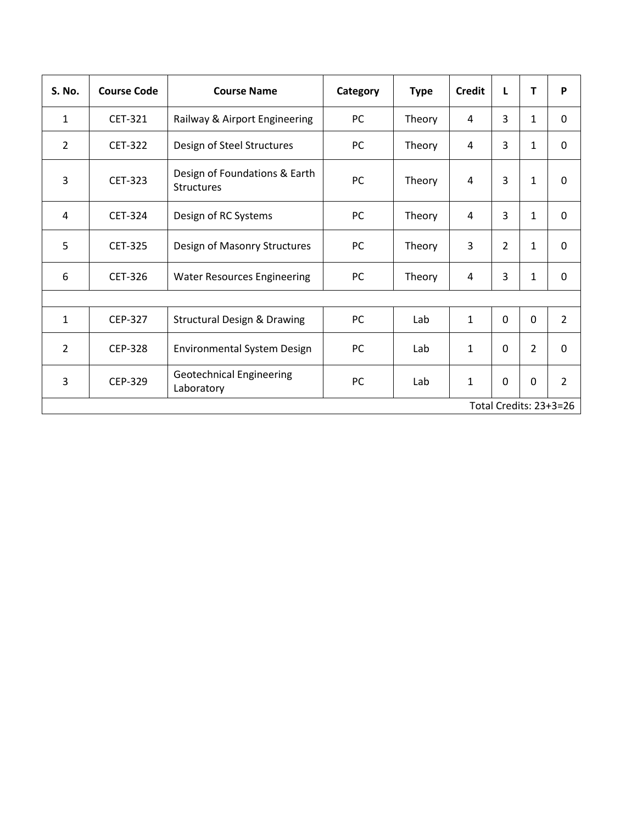| <b>S. No.</b>          | <b>Course Code</b> | <b>Course Name</b>                                 | Category  | <b>Type</b> | <b>Credit</b>  | L              | т              | P              |
|------------------------|--------------------|----------------------------------------------------|-----------|-------------|----------------|----------------|----------------|----------------|
| $\mathbf{1}$           | CET-321            | Railway & Airport Engineering                      | PC        | Theory      | 4              | 3              | $\mathbf{1}$   | $\mathbf 0$    |
| $\overline{2}$         | <b>CET-322</b>     | Design of Steel Structures                         | PC        | Theory      | 4              | 3              | 1              | $\Omega$       |
| $\overline{3}$         | <b>CET-323</b>     | Design of Foundations & Earth<br><b>Structures</b> | PC        | Theory      | 4              | 3              | $\mathbf{1}$   | $\overline{0}$ |
| 4                      | <b>CET-324</b>     | Design of RC Systems                               | PC        | Theory      | $\overline{4}$ | 3              | $\mathbf 1$    | $\mathbf 0$    |
| 5                      | <b>CET-325</b>     | Design of Masonry Structures                       | PC        | Theory      | 3              | $\overline{2}$ | 1              | $\mathbf 0$    |
| 6                      | <b>CET-326</b>     | <b>Water Resources Engineering</b>                 | PC        | Theory      | 4              | 3              | 1              | $\Omega$       |
|                        |                    |                                                    |           |             |                |                |                |                |
| $\mathbf{1}$           | <b>CEP-327</b>     | <b>Structural Design &amp; Drawing</b>             | PC        | Lab         | $\mathbf{1}$   | $\mathbf 0$    | $\mathbf 0$    | $\overline{2}$ |
| $\overline{2}$         | <b>CEP-328</b>     | <b>Environmental System Design</b>                 | <b>PC</b> | Lab         | $\mathbf 1$    | $\mathbf 0$    | $\overline{2}$ | $\mathbf 0$    |
| 3                      | <b>CEP-329</b>     | <b>Geotechnical Engineering</b><br>Laboratory      | PC        | Lab         | $\mathbf{1}$   | $\mathbf 0$    | 0              | $\overline{2}$ |
| Total Credits: 23+3=26 |                    |                                                    |           |             |                |                |                |                |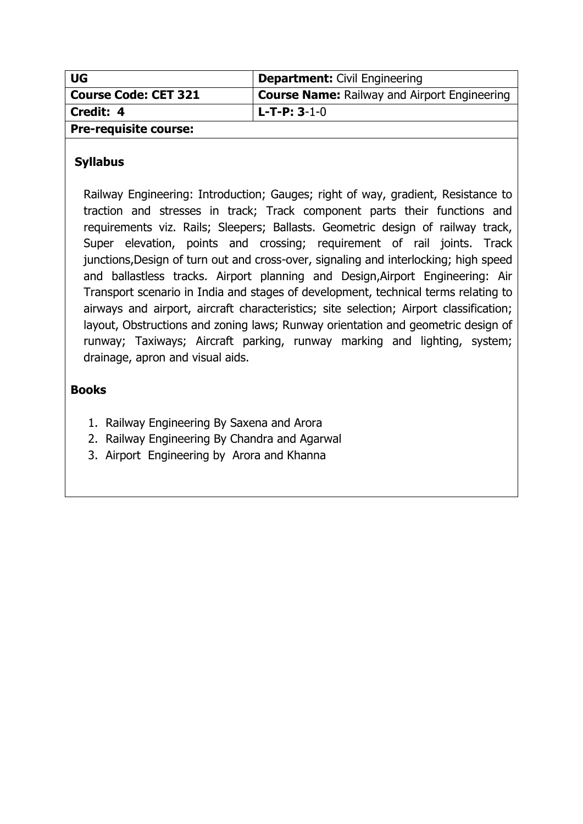| <b>UG</b>                    | <b>Department: Civil Engineering</b>                |
|------------------------------|-----------------------------------------------------|
| <b>Course Code: CET 321</b>  | <b>Course Name:</b> Railway and Airport Engineering |
| Credit: 4                    | l L-T-P: 3-1-0                                      |
| <b>Pre-requisite course:</b> |                                                     |

Railway Engineering: Introduction; Gauges; right of way, gradient, Resistance to traction and stresses in track; Track component parts their functions and requirements viz. Rails; Sleepers; Ballasts. Geometric design of railway track, Super elevation, points and crossing; requirement of rail joints. Track junctions,Design of turn out and cross-over, signaling and interlocking; high speed and ballastless tracks. Airport planning and Design,Airport Engineering: Air Transport scenario in India and stages of development, technical terms relating to airways and airport, aircraft characteristics; site selection; Airport classification; layout, Obstructions and zoning laws; Runway orientation and geometric design of runway; Taxiways; Aircraft parking, runway marking and lighting, system; drainage, apron and visual aids.

- 1. Railway Engineering By Saxena and Arora
- 2. Railway Engineering By Chandra and Agarwal
- 3. Airport Engineering by Arora and Khanna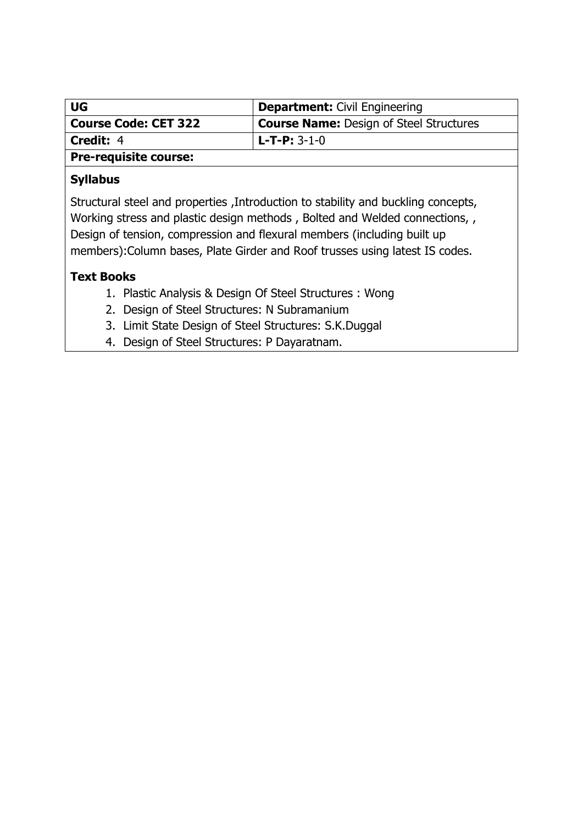| <b>UG</b>                   | <b>Department:</b> Civil Engineering           |  |
|-----------------------------|------------------------------------------------|--|
| <b>Course Code: CET 322</b> | <b>Course Name:</b> Design of Steel Structures |  |
| Credit: 4                   | l L-T-P: 3-1-0                                 |  |
| Pre-requisite course:       |                                                |  |

Structural steel and properties ,Introduction to stability and buckling concepts, Working stress and plastic design methods , Bolted and Welded connections, , Design of tension, compression and flexural members (including built up members):Column bases, Plate Girder and Roof trusses using latest IS codes.

#### **Text Books**

- 1. Plastic Analysis & Design Of Steel Structures : Wong
- 2. Design of Steel Structures: N Subramanium
- 3. Limit State Design of Steel Structures: S.K.Duggal
- 4. Design of Steel Structures: P Dayaratnam.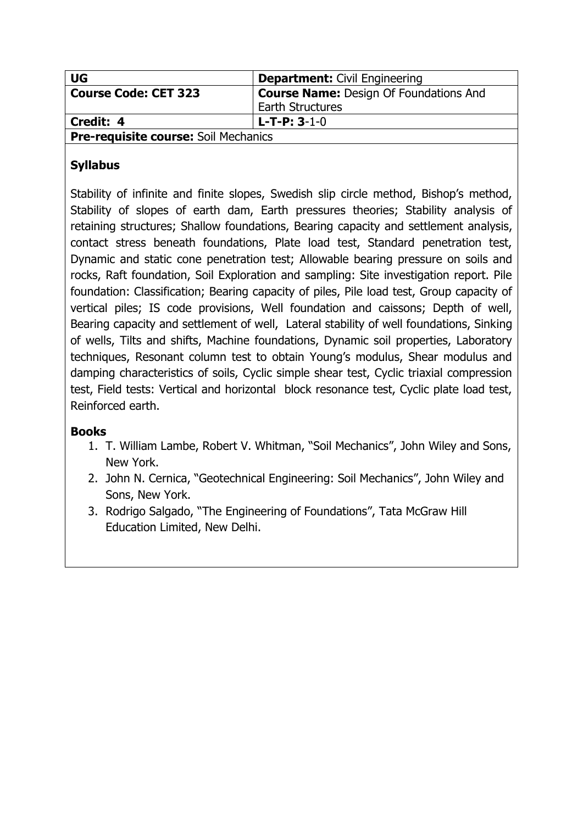| <b>UG</b>                                   | <b>Department: Civil Engineering</b>          |  |
|---------------------------------------------|-----------------------------------------------|--|
| <b>Course Code: CET 323</b>                 | <b>Course Name: Design Of Foundations And</b> |  |
|                                             | <b>Earth Structures</b>                       |  |
| Credit: 4<br>$L$ -T-P: 3-1-0                |                                               |  |
| <b>Pre-requisite course: Soil Mechanics</b> |                                               |  |

Stability of infinite and finite slopes, Swedish slip circle method, Bishop's method, Stability of slopes of earth dam, Earth pressures theories; Stability analysis of retaining structures; Shallow foundations, Bearing capacity and settlement analysis, contact stress beneath foundations, Plate load test, Standard penetration test, Dynamic and static cone penetration test; Allowable bearing pressure on soils and rocks, Raft foundation, Soil Exploration and sampling: Site investigation report. Pile foundation: Classification; Bearing capacity of piles, Pile load test, Group capacity of vertical piles; IS code provisions, Well foundation and caissons; Depth of well, Bearing capacity and settlement of well, Lateral stability of well foundations, Sinking of wells, Tilts and shifts, Machine foundations, Dynamic soil properties, Laboratory techniques, Resonant column test to obtain Young's modulus, Shear modulus and damping characteristics of soils, Cyclic simple shear test, Cyclic triaxial compression test, Field tests: Vertical and horizontal block resonance test, Cyclic plate load test, Reinforced earth.

- 1. T. William Lambe, Robert V. Whitman, "Soil Mechanics", John Wiley and Sons, New York.
- 2. John N. Cernica, "Geotechnical Engineering: Soil Mechanics", John Wiley and Sons, New York.
- 3. Rodrigo Salgado, "The Engineering of Foundations", Tata McGraw Hill Education Limited, New Delhi.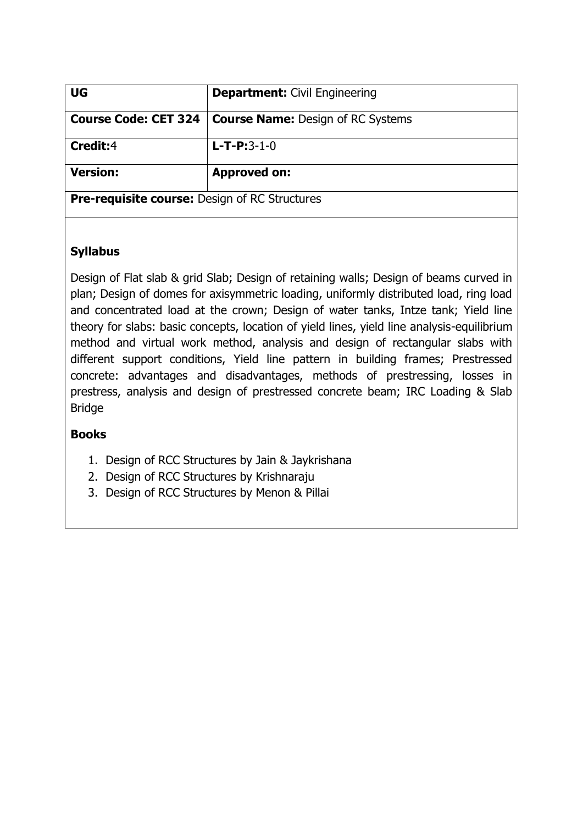| <b>UG</b>                                            | <b>Department: Civil Engineering</b>     |
|------------------------------------------------------|------------------------------------------|
| <b>Course Code: CET 324</b>                          | <b>Course Name: Design of RC Systems</b> |
| Credit:4                                             | $L - T - P : 3 - 1 - 0$                  |
| <b>Version:</b>                                      | <b>Approved on:</b>                      |
| <b>Pre-requisite course: Design of RC Structures</b> |                                          |

Design of Flat slab & grid Slab; Design of retaining walls; Design of beams curved in plan; Design of domes for axisymmetric loading, uniformly distributed load, ring load and concentrated load at the crown; Design of water tanks, Intze tank; Yield line theory for slabs: basic concepts, location of yield lines, yield line analysis-equilibrium method and virtual work method, analysis and design of rectangular slabs with different support conditions, Yield line pattern in building frames; Prestressed concrete: advantages and disadvantages, methods of prestressing, losses in prestress, analysis and design of prestressed concrete beam; IRC Loading & Slab Bridge

- 1. Design of RCC Structures by Jain & Jaykrishana
- 2. Design of RCC Structures by Krishnaraju
- 3. Design of RCC Structures by Menon & Pillai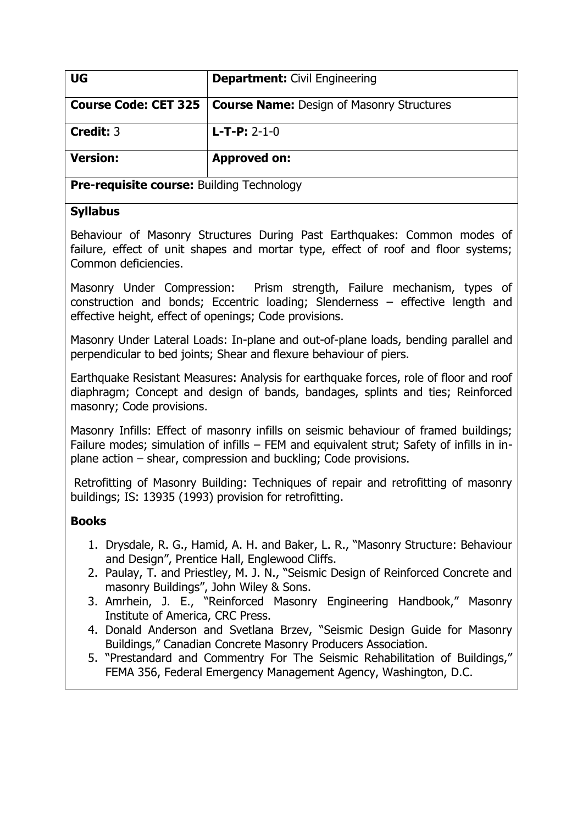| <b>UG</b>                                        | <b>Department: Civil Engineering</b>             |
|--------------------------------------------------|--------------------------------------------------|
| Course Code: CET 325                             | <b>Course Name: Design of Masonry Structures</b> |
| <b>Credit: 3</b>                                 | $L$ -T-P: 2-1-0                                  |
| <b>Version:</b>                                  | <b>Approved on:</b>                              |
| <b>Pre-requisite course: Building Technology</b> |                                                  |

Behaviour of Masonry Structures During Past Earthquakes: Common modes of failure, effect of unit shapes and mortar type, effect of roof and floor systems; Common deficiencies.

Masonry Under Compression: Prism strength, Failure mechanism, types of construction and bonds; Eccentric loading; Slenderness – effective length and effective height, effect of openings; Code provisions.

Masonry Under Lateral Loads: In-plane and out-of-plane loads, bending parallel and perpendicular to bed joints; Shear and flexure behaviour of piers.

Earthquake Resistant Measures: Analysis for earthquake forces, role of floor and roof diaphragm; Concept and design of bands, bandages, splints and ties; Reinforced masonry; Code provisions.

Masonry Infills: Effect of masonry infills on seismic behaviour of framed buildings; Failure modes; simulation of infills – FEM and equivalent strut; Safety of infills in inplane action – shear, compression and buckling; Code provisions.

Retrofitting of Masonry Building: Techniques of repair and retrofitting of masonry buildings; IS: 13935 (1993) provision for retrofitting.

- 1. Drysdale, R. G., Hamid, A. H. and Baker, L. R., "Masonry Structure: Behaviour and Design", Prentice Hall, Englewood Cliffs.
- 2. Paulay, T. and Priestley, M. J. N., "Seismic Design of Reinforced Concrete and masonry Buildings", John Wiley & Sons.
- 3. Amrhein, J. E., "Reinforced Masonry Engineering Handbook," Masonry Institute of America, CRC Press.
- 4. Donald Anderson and Svetlana Brzev, "Seismic Design Guide for Masonry Buildings," Canadian Concrete Masonry Producers Association.
- 5. "Prestandard and Commentry For The Seismic Rehabilitation of Buildings," FEMA 356, Federal Emergency Management Agency, Washington, D.C.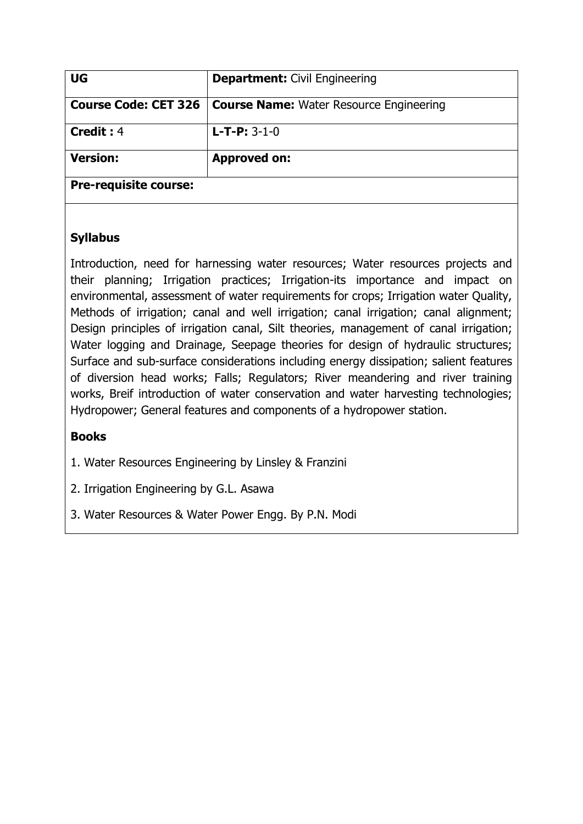| <b>UG</b>                    | <b>Department: Civil Engineering</b>           |
|------------------------------|------------------------------------------------|
| <b>Course Code: CET 326</b>  | <b>Course Name:</b> Water Resource Engineering |
| <b>Credit: 4</b>             | $L$ -T-P: 3-1-0                                |
| <b>Version:</b>              | <b>Approved on:</b>                            |
| <b>Pre-requisite course:</b> |                                                |

Introduction, need for harnessing water resources; Water resources projects and their planning; Irrigation practices; Irrigation-its importance and impact on environmental, assessment of water requirements for crops; Irrigation water Quality, Methods of irrigation; canal and well irrigation; canal irrigation; canal alignment; Design principles of irrigation canal, Silt theories, management of canal irrigation; Water logging and Drainage, Seepage theories for design of hydraulic structures; Surface and sub-surface considerations including energy dissipation; salient features of diversion head works; Falls; Regulators; River meandering and river training works, Breif introduction of water conservation and water harvesting technologies; Hydropower; General features and components of a hydropower station.

## **Books**

1. Water Resources Engineering by Linsley & Franzini

2. Irrigation Engineering by G.L. Asawa

3. Water Resources & Water Power Engg. By P.N. Modi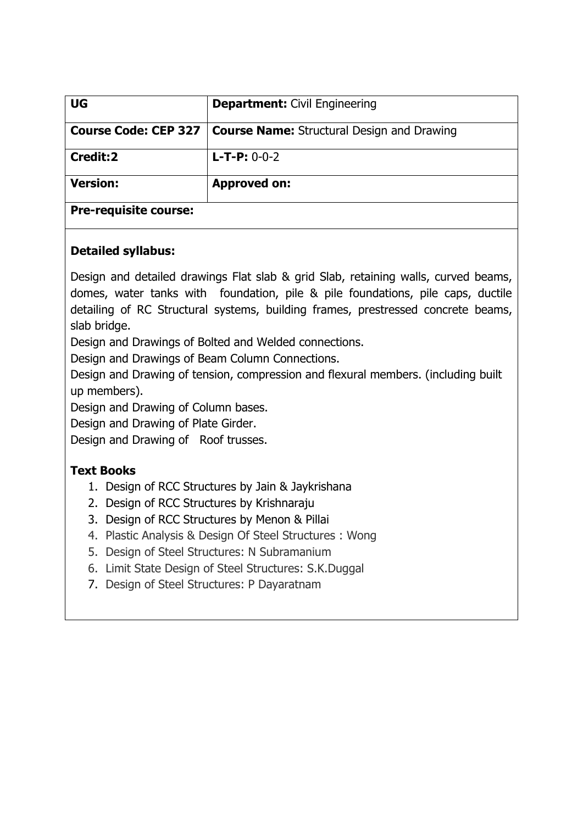| UG                           | <b>Department:</b> Civil Engineering              |
|------------------------------|---------------------------------------------------|
| Course Code: CEP 327         | <b>Course Name:</b> Structural Design and Drawing |
| Credit:2                     | $L$ -T-P: 0-0-2                                   |
| <b>Version:</b>              | <b>Approved on:</b>                               |
| <b>Pre-requisite course:</b> |                                                   |

## **Detailed syllabus:**

Design and detailed drawings Flat slab & grid Slab, retaining walls, curved beams, domes, water tanks with foundation, pile & pile foundations, pile caps, ductile detailing of RC Structural systems, building frames, prestressed concrete beams, slab bridge.

Design and Drawings of Bolted and Welded connections.

Design and Drawings of Beam Column Connections.

Design and Drawing of tension, compression and flexural members. (including built up members).

Design and Drawing of Column bases.

Design and Drawing of Plate Girder.

Design and Drawing of Roof trusses.

## **Text Books**

- 1. Design of RCC Structures by Jain & Jaykrishana
- 2. Design of RCC Structures by Krishnaraju
- 3. Design of RCC Structures by Menon & Pillai
- 4. Plastic Analysis & Design Of Steel Structures : Wong
- 5. Design of Steel Structures: N Subramanium
- 6. Limit State Design of Steel Structures: S.K.Duggal
- 7. Design of Steel Structures: P Dayaratnam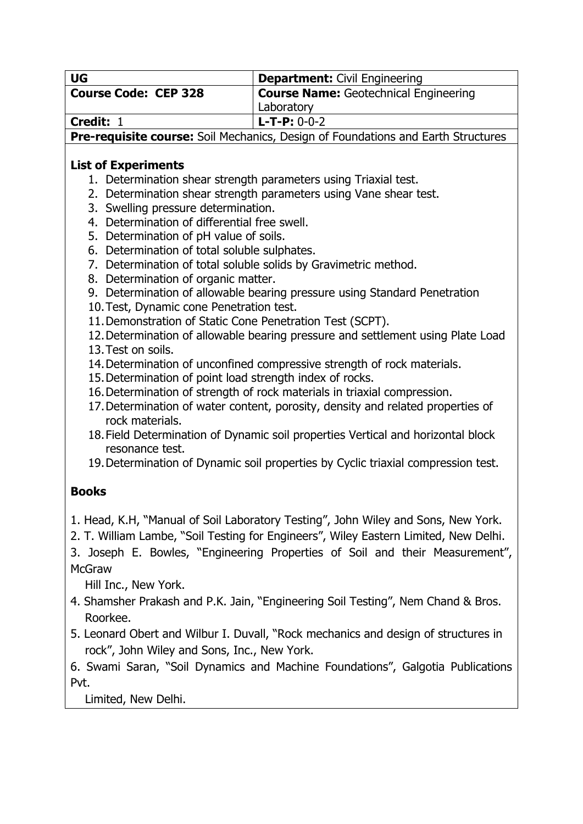| <b>UG</b>                                                                           | <b>Department: Civil Engineering</b>                                                 |  |  |
|-------------------------------------------------------------------------------------|--------------------------------------------------------------------------------------|--|--|
| <b>Course Code: CEP 328</b>                                                         | <b>Course Name: Geotechnical Engineering</b>                                         |  |  |
|                                                                                     | Laboratory                                                                           |  |  |
| Credit: 1                                                                           | $L$ -T-P: 0-0-2                                                                      |  |  |
|                                                                                     | Pre-requisite course: Soil Mechanics, Design of Foundations and Earth Structures     |  |  |
|                                                                                     |                                                                                      |  |  |
| <b>List of Experiments</b>                                                          |                                                                                      |  |  |
|                                                                                     | 1. Determination shear strength parameters using Triaxial test.                      |  |  |
|                                                                                     | 2. Determination shear strength parameters using Vane shear test.                    |  |  |
| 3. Swelling pressure determination.<br>4. Determination of differential free swell. |                                                                                      |  |  |
| 5. Determination of pH value of soils.                                              |                                                                                      |  |  |
| 6. Determination of total soluble sulphates.                                        |                                                                                      |  |  |
|                                                                                     | 7. Determination of total soluble solids by Gravimetric method.                      |  |  |
| 8. Determination of organic matter.                                                 |                                                                                      |  |  |
|                                                                                     | 9. Determination of allowable bearing pressure using Standard Penetration            |  |  |
| 10. Test, Dynamic cone Penetration test.                                            |                                                                                      |  |  |
| 11. Demonstration of Static Cone Penetration Test (SCPT).                           |                                                                                      |  |  |
|                                                                                     | 12. Determination of allowable bearing pressure and settlement using Plate Load      |  |  |
| 13. Test on soils.                                                                  |                                                                                      |  |  |
|                                                                                     | 14. Determination of unconfined compressive strength of rock materials.              |  |  |
| 15. Determination of point load strength index of rocks.                            |                                                                                      |  |  |
| 16. Determination of strength of rock materials in triaxial compression.            |                                                                                      |  |  |
| 17. Determination of water content, porosity, density and related properties of     |                                                                                      |  |  |
| rock materials.                                                                     |                                                                                      |  |  |
|                                                                                     | 18. Field Determination of Dynamic soil properties Vertical and horizontal block     |  |  |
| resonance test.                                                                     |                                                                                      |  |  |
| 19. Determination of Dynamic soil properties by Cyclic triaxial compression test.   |                                                                                      |  |  |
|                                                                                     |                                                                                      |  |  |
| <b>Books</b>                                                                        |                                                                                      |  |  |
|                                                                                     | 1. Head, K.H, "Manual of Soil Laboratory Testing", John Wiley and Sons, New York.    |  |  |
|                                                                                     | 2. T. William Lambe, "Soil Testing for Engineers", Wiley Eastern Limited, New Delhi. |  |  |
|                                                                                     |                                                                                      |  |  |
|                                                                                     | 3. Joseph E. Bowles, "Engineering Properties of Soil and their Measurement",         |  |  |
| <b>McGraw</b>                                                                       |                                                                                      |  |  |
| Hill Inc., New York.                                                                |                                                                                      |  |  |
| 4. Shamsher Prakash and P.K. Jain, "Engineering Soil Testing", Nem Chand & Bros.    |                                                                                      |  |  |
| Roorkee.                                                                            |                                                                                      |  |  |
| 5. Leonard Obert and Wilbur I. Duvall, "Rock mechanics and design of structures in  |                                                                                      |  |  |
| rock", John Wiley and Sons, Inc., New York.                                         |                                                                                      |  |  |
| 6. Swami Saran, "Soil Dynamics and Machine Foundations", Galgotia Publications      |                                                                                      |  |  |
| Pvt.                                                                                |                                                                                      |  |  |
|                                                                                     |                                                                                      |  |  |

Limited, New Delhi.